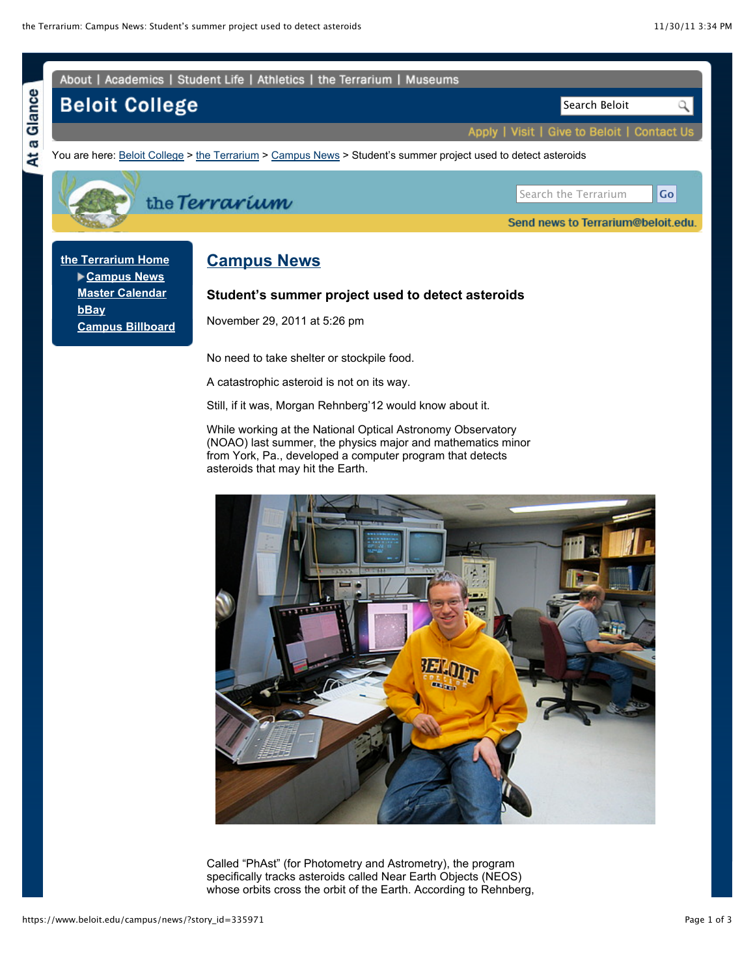

Called "PhAst" (for Photometry and Astrometry), the program specifically tracks asteroids called Near Earth Objects (NEOS) whose orbits cross the orbit of the Earth. According to Rehnberg,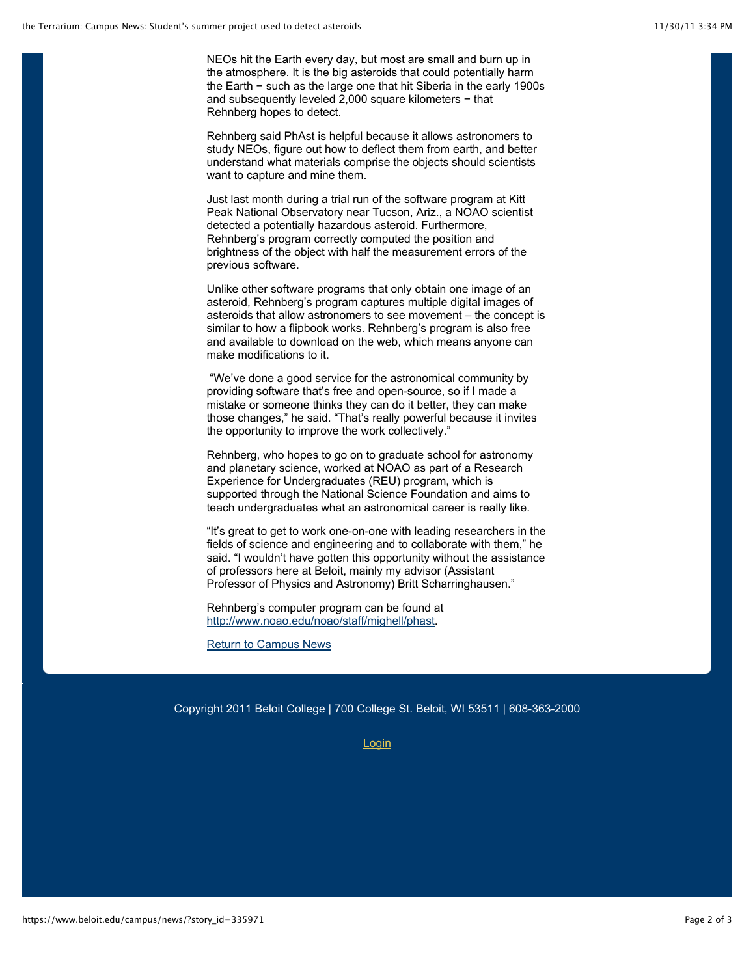NEOs hit the Earth every day, but most are small and burn up in the atmosphere. It is the big asteroids that could potentially harm the Earth − such as the large one that hit Siberia in the early 1900s and subsequently leveled 2,000 square kilometers − that Rehnberg hopes to detect.

Rehnberg said PhAst is helpful because it allows astronomers to study NEOs, figure out how to deflect them from earth, and better understand what materials comprise the objects should scientists want to capture and mine them.

Just last month during a trial run of the software program at Kitt Peak National Observatory near Tucson, Ariz., a NOAO scientist detected a potentially hazardous asteroid. Furthermore, Rehnberg's program correctly computed the position and brightness of the object with half the measurement errors of the previous software.

Unlike other software programs that only obtain one image of an asteroid, Rehnberg's program captures multiple digital images of asteroids that allow astronomers to see movement – the concept is similar to how a flipbook works. Rehnberg's program is also free and available to download on the web, which means anyone can make modifications to it.

 "We've done a good service for the astronomical community by providing software that's free and open-source, so if I made a mistake or someone thinks they can do it better, they can make those changes," he said. "That's really powerful because it invites the opportunity to improve the work collectively."

Rehnberg, who hopes to go on to graduate school for astronomy and planetary science, worked at NOAO as part of a Research Experience for Undergraduates (REU) program, which is supported through the National Science Foundation and aims to teach undergraduates what an astronomical career is really like.

"It's great to get to work one-on-one with leading researchers in the fields of science and engineering and to collaborate with them," he said. "I wouldn't have gotten this opportunity without the assistance of professors here at Beloit, mainly my advisor (Assistant Professor of Physics and Astronomy) Britt Scharringhausen."

Rehnberg's computer program can be found at http://www.noao.edu/noao/staff/mighell/phast.

Return to Campus News

Copyright 2011 Beloit College | 700 College St. Beloit, WI 53511 | 608-363-2000

**Login**